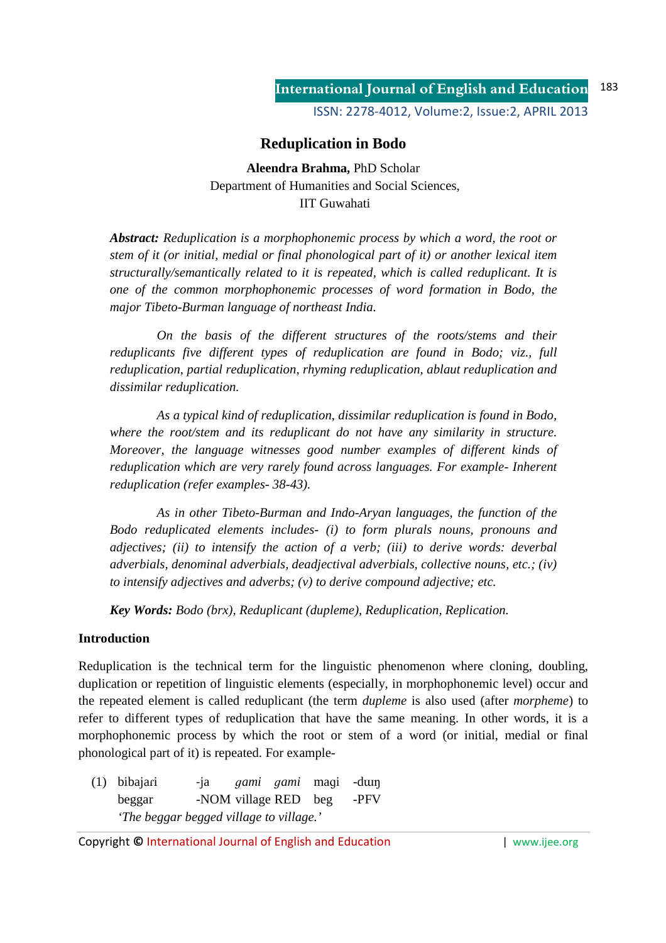ISSN: 2278-4012, Volume:2, Issue:2, APRIL 2013

# **Reduplication in Bodo**

**Aleendra Brahma,** PhD Scholar Department of Humanities and Social Sciences, IIT Guwahati

*Abstract: Reduplication is a morphophonemic process by which a word, the root or stem of it (or initial, medial or final phonological part of it) or another lexical item structurally/semantically related to it is repeated, which is called reduplicant. It is one of the common morphophonemic processes of word formation in Bodo, the major Tibeto-Burman language of northeast India.* 

 *On the basis of the different structures of the roots/stems and their reduplicants five different types of reduplication are found in Bodo; viz., full reduplication, partial reduplication, rhyming reduplication, ablaut reduplication and dissimilar reduplication.* 

 *As a typical kind of reduplication, dissimilar reduplication is found in Bodo, where the root/stem and its reduplicant do not have any similarity in structure. Moreover, the language witnesses good number examples of different kinds of reduplication which are very rarely found across languages. For example- Inherent reduplication (refer examples- 38-43).* 

 *As in other Tibeto-Burman and Indo-Aryan languages, the function of the Bodo reduplicated elements includes- (i) to form plurals nouns, pronouns and adjectives; (ii) to intensify the action of a verb; (iii) to derive words: deverbal adverbials, denominal adverbials, deadjectival adverbials, collective nouns, etc.; (iv) to intensify adjectives and adverbs; (v) to derive compound adjective; etc.* 

*Key Words: Bodo (brx), Reduplicant (dupleme), Reduplication, Replication.*

## **Introduction**

Reduplication is the technical term for the linguistic phenomenon where cloning, doubling, duplication or repetition of linguistic elements (especially, in morphophonemic level) occur and the repeated element is called reduplicant (the term *dupleme* is also used (after *morpheme*) to refer to different types of reduplication that have the same meaning. In other words, it is a morphophonemic process by which the root or stem of a word (or initial, medial or final phonological part of it) is repeated. For example-

 (1) bibajaɾi -ja *ɡami ɡami* maɡi -dɯŋ beggar -NOM village RED beg -PFV *'The beggar begged village to village.'* 

Copyright © International Journal of English and Education **| www.ijee.org** | www.ijee.org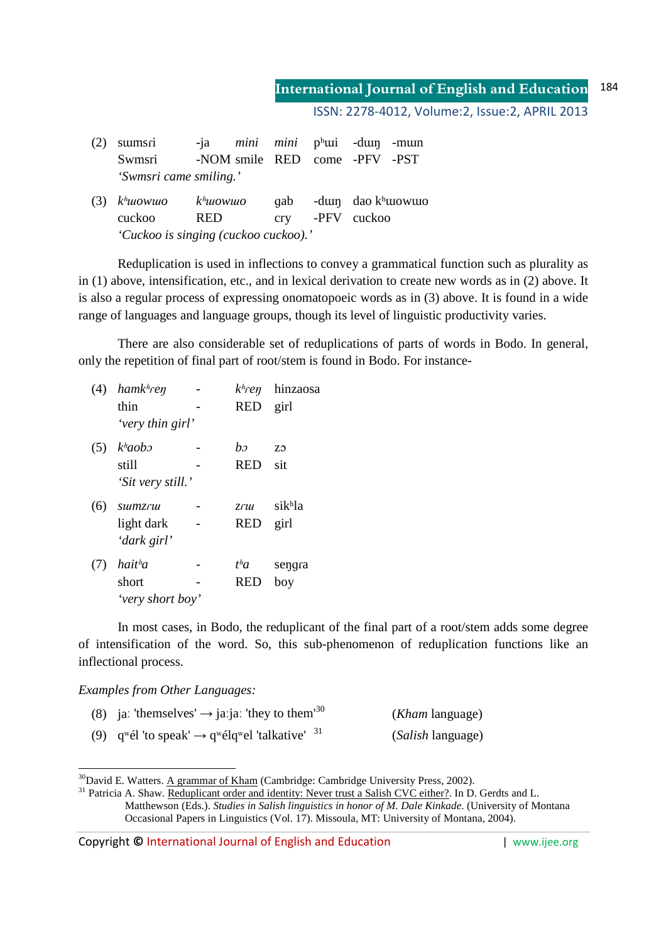ISSN: 2278-4012, Volume:2, Issue:2, APRIL 2013

| sumsri                               | $-1a$                |  | <i>mini mini</i> p <sup>h</sup> ui -dui -muin |             |  |                      |  |  |  |
|--------------------------------------|----------------------|--|-----------------------------------------------|-------------|--|----------------------|--|--|--|
| Swmsri                               |                      |  | -NOM smile RED come -PFV -PST                 |             |  |                      |  |  |  |
| 'Swmsri came smiling.'               |                      |  |                                               |             |  |                      |  |  |  |
| $(3)$ k <sup>h</sup> uowuo           | k <sup>h</sup> uowuo |  | qab                                           |             |  | -dum dao $k^h$ uowuo |  |  |  |
| cuckoo                               | <b>RED</b>           |  | crv                                           | -PFV cuckoo |  |                      |  |  |  |
| 'Cuckoo is singing (cuckoo cuckoo).' |                      |  |                                               |             |  |                      |  |  |  |

 Reduplication is used in inflections to convey a grammatical function such as plurality as in (1) above, intensification, etc., and in lexical derivation to create new words as in (2) above. It is also a regular process of expressing onomatopoeic words as in (3) above. It is found in a wide range of languages and language groups, though its level of linguistic productivity varies.

 There are also considerable set of reduplications of parts of words in Bodo. In general, only the repetition of final part of root/stem is found in Bodo. For instance-

| (4) | hamk <sup>h</sup> ren | $kh$ ren        | hinzaosa |
|-----|-----------------------|-----------------|----------|
|     | thin                  | <b>RED</b>      | girl     |
|     | 'very thin girl'      |                 |          |
| (5) | $kh$ aobo             | $b\sigma$       | ZO.      |
|     | still                 | <b>RED</b>      | sit      |
|     | 'Sit very still.'     |                 |          |
| (6) | <i>sumzru</i>         | $Z \mathcal{L}$ | sikhla   |
|     | light dark            | <b>RED</b>      | girl     |
|     | 'dark girl'           |                 |          |
| (7) | hait <sup>h</sup> a   | $t^ha$          | sengra   |
|     | short                 | RED             | boy      |
|     | 'very short boy'      |                 |          |

 In most cases, in Bodo, the reduplicant of the final part of a root/stem adds some degree of intensification of the word. So, this sub-phenomenon of reduplication functions like an inflectional process.

*Examples from Other Languages:* 

<u>.</u>

| (8) ja: 'themselves' $\rightarrow$ ja: ja: 'they to them <sup>30</sup>                          | ( <i>Kham</i> language)   |
|-------------------------------------------------------------------------------------------------|---------------------------|
| (9) $q^{w}\acute{e}l$ 'to speak' $\rightarrow q^{w}\acute{e}lq^{w}el$ 'talkative' <sup>31</sup> | ( <i>Salish</i> language) |

 $30$ David E. Watters. A grammar of Kham (Cambridge: Cambridge University Press, 2002).

Copyright **©** International Journal of English and Education | www.ijee.org

Bavid E. Waters. Tr gramma or remain (cannotingly: cannotingly can even for the fit of the salish CVC either?. In D. Gerdts and L. Matthewson (Eds.). *Studies in Salish linguistics in honor of M. Dale Kinkade*. (University of Montana Occasional Papers in Linguistics (Vol. 17). Missoula, MT: University of Montana, 2004).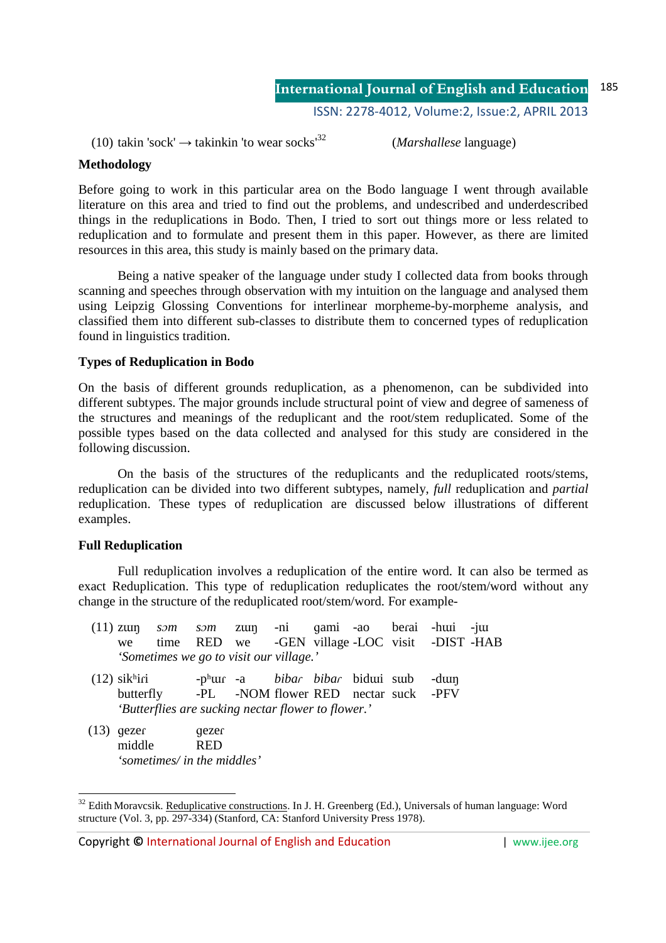ISSN: 2278-4012, Volume:2, Issue:2, APRIL 2013

(10) takin 'sock'  $\rightarrow$  takinkin 'to wear socks<sup>32</sup> (*Marshallese* language)

## **Methodology**

Before going to work in this particular area on the Bodo language I went through available literature on this area and tried to find out the problems, and undescribed and underdescribed things in the reduplications in Bodo. Then, I tried to sort out things more or less related to reduplication and to formulate and present them in this paper. However, as there are limited resources in this area, this study is mainly based on the primary data.

 Being a native speaker of the language under study I collected data from books through scanning and speeches through observation with my intuition on the language and analysed them using Leipzig Glossing Conventions for interlinear morpheme-by-morpheme analysis, and classified them into different sub-classes to distribute them to concerned types of reduplication found in linguistics tradition.

### **Types of Reduplication in Bodo**

On the basis of different grounds reduplication, as a phenomenon, can be subdivided into different subtypes. The major grounds include structural point of view and degree of sameness of the structures and meanings of the reduplicant and the root/stem reduplicated. Some of the possible types based on the data collected and analysed for this study are considered in the following discussion.

 On the basis of the structures of the reduplicants and the reduplicated roots/stems, reduplication can be divided into two different subtypes, namely, *full* reduplication and *partial*  reduplication. These types of reduplication are discussed below illustrations of different examples.

## **Full Reduplication**

-

 Full reduplication involves a reduplication of the entire word. It can also be termed as exact Reduplication. This type of reduplication reduplicates the root/stem/word without any change in the structure of the reduplicated root/stem/word. For example-

|                                         | $(11)$ zun som som zun -ni qami -ao berai -hui -jui |  |  |  |  |                                                  |  |  |  |  |
|-----------------------------------------|-----------------------------------------------------|--|--|--|--|--------------------------------------------------|--|--|--|--|
|                                         |                                                     |  |  |  |  | we time RED we -GEN village LOC visit -DIST -HAB |  |  |  |  |
| 'Sometimes we go to visit our village.' |                                                     |  |  |  |  |                                                  |  |  |  |  |

- (12) sikhiri -phur -a *bibar bibar* bidui sub -dun<br>butterfly -PL -NOM flower RED nectar suck -PFV  $butterfly$   $-PI$   $-NOM$  flower RED nectar suck *'Butterflies are sucking nectar flower to flower.'*
- $(13)$  gezer gezer middle RED *'sometimes/ in the middles'*

<sup>&</sup>lt;sup>32</sup> Edith Moravcsik. Reduplicative constructions. In J. H. Greenberg (Ed.), Universals of human language: Word structure (Vol. 3, pp. 297-334) (Stanford, CA: Stanford University Press 1978).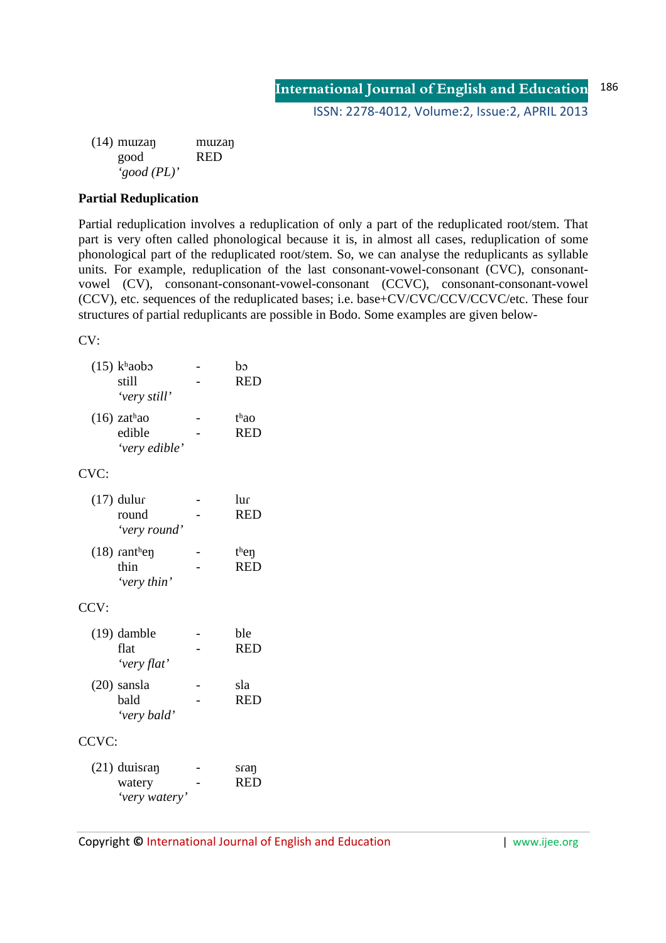(14) mɯzaŋ mɯzaŋ good RED *'good (PL)'*

# **Partial Reduplication**

Partial reduplication involves a reduplication of only a part of the reduplicated root/stem. That part is very often called phonological because it is, in almost all cases, reduplication of some phonological part of the reduplicated root/stem. So, we can analyse the reduplicants as syllable units. For example, reduplication of the last consonant-vowel-consonant (CVC), consonantvowel (CV), consonant-consonant-vowel-consonant (CCVC), consonant-consonant-vowel (CCV), etc. sequences of the reduplicated bases; i.e. base+CV/CVC/CCV/CCVC/etc. These four structures of partial reduplicants are possible in Bodo. Some examples are given below-

CV:

|       | $(15)$ khaobo<br>still<br>'very still'    | bɔ<br><b>RED</b>   |
|-------|-------------------------------------------|--------------------|
|       | $(16)$ zathao<br>edible<br>'very edible'  | thao<br><b>RED</b> |
| CVC:  |                                           |                    |
|       | $(17)$ dulur<br>round<br>'very round'     | lur<br><b>RED</b>  |
|       | $(18)$ ranthen<br>thin<br>'very thin'     | then<br><b>RED</b> |
| CCV:  |                                           |                    |
|       | $(19)$ damble<br>flat<br>'very flat'      | ble<br><b>RED</b>  |
|       | $(20)$ sansla<br>bald<br>'very bald'      | sla<br><b>RED</b>  |
| CCVC: |                                           |                    |
|       | $(21)$ duisran<br>watery<br>'very watery' | sran<br><b>RED</b> |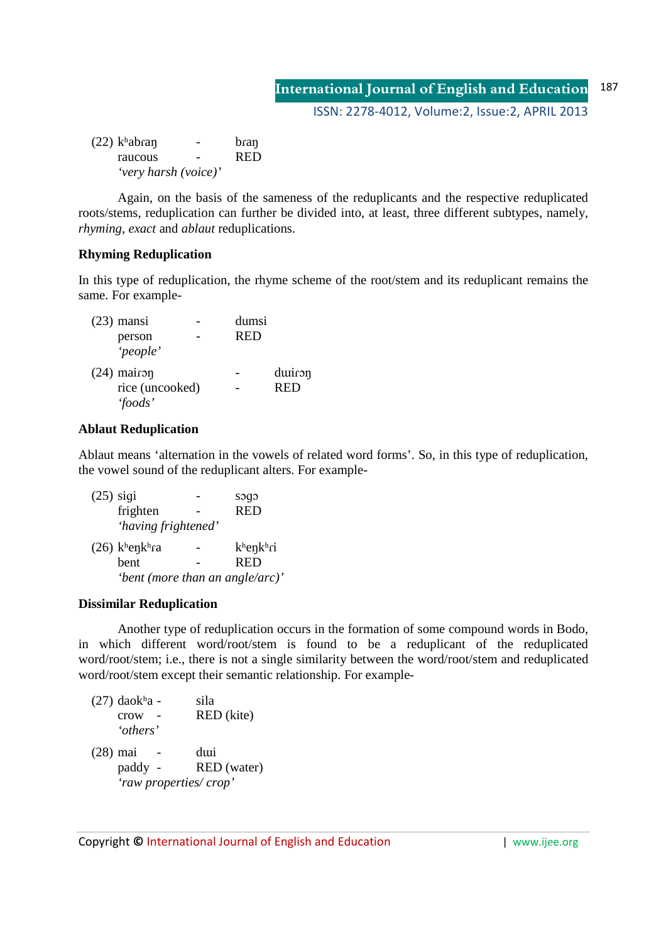ISSN: 2278-4012, Volume:2, Issue:2, APRIL 2013

 $(22)$  kʰabran - bran raucous - RED *'very harsh (voice)'* 

 Again, on the basis of the sameness of the reduplicants and the respective reduplicated roots/stems, reduplication can further be divided into, at least, three different subtypes, namely, *rhyming*, *exact* and *ablaut* reduplications.

# **Rhyming Reduplication**

In this type of reduplication, the rhyme scheme of the root/stem and its reduplicant remains the same. For example-

| $(23)$ mansi    | dumsi      |            |
|-----------------|------------|------------|
| person          | <b>RED</b> |            |
| 'people'        |            |            |
| $(24)$ mairon   |            | duiron     |
| rice (uncooked) |            | <b>RED</b> |
| 'foods'         |            |            |

# **Ablaut Reduplication**

Ablaut means 'alternation in the vowels of related word forms'. So, in this type of reduplication, the vowel sound of the reduplicant alters. For example-

 $(25)$  sigi  $-$  sogo frighten - RED *'having frightened'* (26) kʰeŋkʰɾa - kʰeŋkʰɾi bent - RED *'bent (more than an angle/arc)'* 

## **Dissimilar Reduplication**

 Another type of reduplication occurs in the formation of some compound words in Bodo, in which different word/root/stem is found to be a reduplicant of the reduplicated word/root/stem; i.e., there is not a single similarity between the word/root/stem and reduplicated word/root/stem except their semantic relationship. For example-

| $(27)$ daokha - | sila                  |
|-----------------|-----------------------|
| crow            | RED (kite)            |
| 'others'        |                       |
| $(28)$ mai      | duri                  |
| paddy -         | RED (water)           |
|                 | 'raw properties/crop' |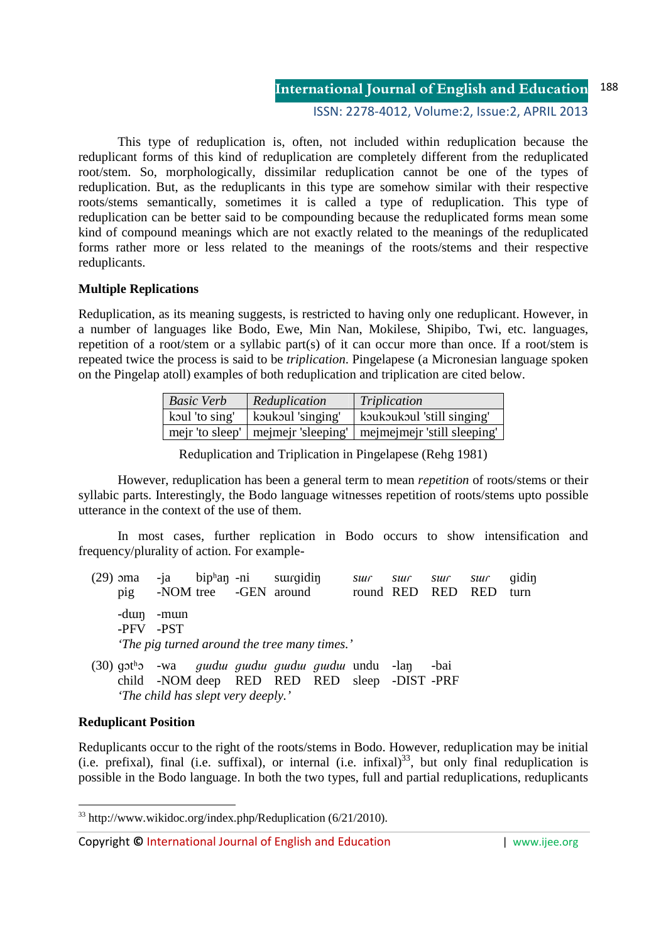ISSN: 2278-4012, Volume:2, Issue:2, APRIL 2013

 This type of reduplication is, often, not included within reduplication because the reduplicant forms of this kind of reduplication are completely different from the reduplicated root/stem. So, morphologically, dissimilar reduplication cannot be one of the types of reduplication. But, as the reduplicants in this type are somehow similar with their respective roots/stems semantically, sometimes it is called a type of reduplication. This type of reduplication can be better said to be compounding because the reduplicated forms mean some kind of compound meanings which are not exactly related to the meanings of the reduplicated forms rather more or less related to the meanings of the roots/stems and their respective reduplicants.

## **Multiple Replications**

Reduplication, as its meaning suggests, is restricted to having only one reduplicant. However, in a number of languages like Bodo, Ewe, Min Nan, Mokilese, Shipibo, Twi, etc. languages, repetition of a root/stem or a syllabic part(s) of it can occur more than once. If a root/stem is repeated twice the process is said to be *triplication*. Pingelapese (a Micronesian language spoken on the Pingelap atoll) examples of both reduplication and triplication are cited below.

| <b>Basic Verb</b> | Reduplication     | Triplication                                                       |
|-------------------|-------------------|--------------------------------------------------------------------|
| koul 'to sing'    | koukoul 'singing' | koukoukoul 'still singing'                                         |
|                   |                   | mejr 'to sleep'   mejmejr 'sleeping'   mejmejmejr 'still sleeping' |

Reduplication and Triplication in Pingelapese (Rehg 1981)

 However, reduplication has been a general term to mean *repetition* of roots/stems or their syllabic parts. Interestingly, the Bodo language witnesses repetition of roots/stems upto possible utterance in the context of the use of them.

 In most cases, further replication in Bodo occurs to show intensification and frequency/plurality of action. For example-

|                                              | $(29)$ oma -ja biphan -ni suurqidin |             |  |  |                                   | $\mathcal{S} \mathcal{U} \mathcal{U} \mathcal{L}$ |  |                   | <i>sur sur sur</i> qidin |      |
|----------------------------------------------|-------------------------------------|-------------|--|--|-----------------------------------|---------------------------------------------------|--|-------------------|--------------------------|------|
|                                              | D1Q                                 |             |  |  | -NOM tree - GEN around            |                                                   |  | round RED RED RED |                          | turn |
|                                              | -PFV -PST                           | -duin -muin |  |  |                                   |                                                   |  |                   |                          |      |
| 'The pig turned around the tree many times.' |                                     |             |  |  |                                   |                                                   |  |                   |                          |      |
|                                              |                                     |             |  |  | $(20)$ de $(1)$ defined as $(20)$ |                                                   |  |                   |                          |      |

 (30) ɡɔtʰɔ -wa *ɡɯdɯ ɡɯdɯ ɡɯdɯ ɡɯdɯ* undu -laŋ -bai child -NOM deep RED RED RED sleep -DIST -PRF *'The child has slept very deeply.'* 

#### **Reduplicant Position**

<u>.</u>

Reduplicants occur to the right of the roots/stems in Bodo. However, reduplication may be initial (i.e. prefixal), final (i.e. suffixal), or internal (i.e. infixal) $^{33}$ , but only final reduplication is possible in the Bodo language. In both the two types, full and partial reduplications, reduplicants

<sup>33</sup> http://www.wikidoc.org/index.php/Reduplication (6/21/2010).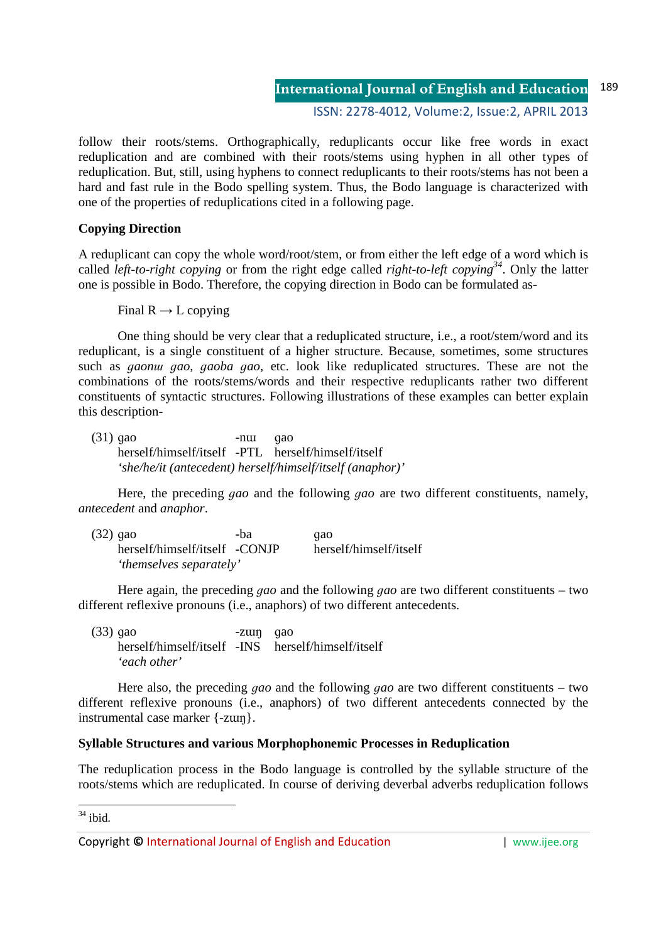ISSN: 2278-4012, Volume:2, Issue:2, APRIL 2013

follow their roots/stems. Orthographically, reduplicants occur like free words in exact reduplication and are combined with their roots/stems using hyphen in all other types of reduplication. But, still, using hyphens to connect reduplicants to their roots/stems has not been a hard and fast rule in the Bodo spelling system. Thus, the Bodo language is characterized with one of the properties of reduplications cited in a following page.

# **Copying Direction**

A reduplicant can copy the whole word/root/stem, or from either the left edge of a word which is called *left-to-right copying* or from the right edge called *right-to-left copying<sup>34</sup>*. Only the latter one is possible in Bodo. Therefore, the copying direction in Bodo can be formulated as-

Final  $R \rightarrow L$  copying

 One thing should be very clear that a reduplicated structure, i.e., a root/stem/word and its reduplicant, is a single constituent of a higher structure. Because, sometimes, some structures such as *ɡaonɯ ɡao*, *ɡaoba ɡao*, etc. look like reduplicated structures. These are not the combinations of the roots/stems/words and their respective reduplicants rather two different constituents of syntactic structures. Following illustrations of these examples can better explain this description-

 $(31)$  gao  $-\text{nu}$  gao herself/himself/itself -PTL herself/himself/itself *'she/he/it (antecedent) herself/himself/itself (anaphor)'* 

 Here, the preceding *ɡao* and the following *ɡao* are two different constituents, namely, *antecedent* and *anaphor*.

| $(32)$ qao                    | -ba | qao                    |
|-------------------------------|-----|------------------------|
| herself/himself/itself -CONJP |     | herself/himself/itself |
| 'themselves separately'       |     |                        |

 Here again, the preceding *ɡao* and the following *ɡao* are two different constituents – two different reflexive pronouns (i.e., anaphors) of two different antecedents.

 $(33)$  gao  $-z \mu$  -zun gao herself/himself/itself -INS herself/himself/itself *'each other'* 

Here also, the preceding *ɡao* and the following *ɡao* are two different constituents – two different reflexive pronouns (i.e., anaphors) of two different antecedents connected by the instrumental case marker {-zɯŋ}.

## **Syllable Structures and various Morphophonemic Processes in Reduplication**

The reduplication process in the Bodo language is controlled by the syllable structure of the roots/stems which are reduplicated. In course of deriving deverbal adverbs reduplication follows

<u>.</u>  $34$  ibid.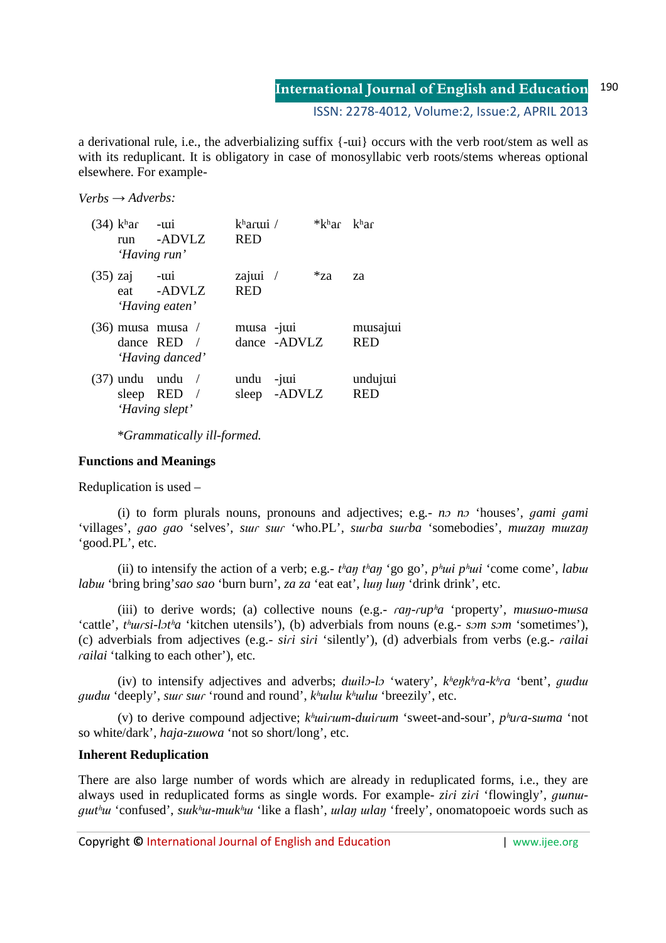ISSN: 2278-4012, Volume:2, Issue:2, APRIL 2013

a derivational rule, i.e., the adverbializing suffix  $\{-\text{ui}\}\$  occurs with the verb root/stem as well as with its reduplicant. It is obligatory in case of monosyllabic verb roots/stems whereas optional elsewhere. For example-

*Verbs → Adverbs:*

| $(34)$ k <sup>h</sup> ar<br>run | $-III1$<br>-ADVLZ<br>'Having run' | $kh$ aruui /<br><b>RED</b> |                   | *kʰar | k <sup>h</sup> ar     |
|---------------------------------|-----------------------------------|----------------------------|-------------------|-------|-----------------------|
| $(35)$ zaj<br>eat               | -wi<br>-ADVLZ<br>'Having eaten'   | zajui $/$<br><b>RED</b>    |                   | $*za$ | za                    |
| $(36)$ musa musa /              | dance RED /<br>'Having danced'    | musa -jui                  | dance -ADVLZ      |       | musajui<br><b>RED</b> |
| $(37)$ undu undu<br>sleep RED   | 'Having slept'                    | undu<br>sleep              | $-i$ ui<br>-ADVLZ |       | undujui<br><b>RED</b> |

 *\*Grammatically ill-formed.* 

### **Functions and Meanings**

Reduplication is used –

 (i) to form plurals nouns, pronouns and adjectives; e.g.- *nɔ nɔ* 'houses', *ɡami ɡami* 'villages', gao gao 'selves', sur sur 'who.PL', surba surba 'somebodies', muzan muzan 'good.PL', etc.

(ii) to intensify the action of a verb; e.g.-  $t<sup>h</sup> a\eta t<sup>h</sup> a\eta t<sup>h</sup> g\eta g\phi'$ ,  $p<sup>h</sup> u\iota t'$  come come', *labul labɯ* 'bring bring'*sao sao* 'burn burn', *za za* 'eat eat', *lɯŋ lɯŋ* 'drink drink', etc.

(iii) to derive words; (a) collective nouns (e.g.-  $\epsilon$ *ca* $\gamma$ *-cup*<sup>*h*</sup>*a* 'property', *musuo-musa* 'cattle', *tʰɯɾsi-lɔtʰa* 'kitchen utensils'), (b) adverbials from nouns (e.g.- *sɔm sɔm* 'sometimes'), (c) adverbials from adjectives (e.g.- *siɾi siɾi* 'silently'), (d) adverbials from verbs (e.g.- *ɾailai ɾailai* 'talking to each other'), etc.

 (iv) to intensify adjectives and adverbs; *dɯilɔ-lɔ* 'watery', *kʰeŋkʰɾa-kʰɾa* 'bent', *ɡɯdɯ ɡɯdɯ* 'deeply', *sɯɾ sɯɾ* 'round and round', *kʰɯlɯ kʰɯlɯ* 'breezily', etc.

(v) to derive compound adjective;  $k<sup>h</sup>ui<sup>r</sup>um-dui<sup>r</sup>um 'sweet-and-sour', p<sup>h</sup>ura-suma 'not$ so white/dark', *haja-zɯowa* 'not so short/long', etc.

## **Inherent Reduplication**

There are also large number of words which are already in reduplicated forms, i.e., they are always used in reduplicated forms as single words. For example- *ziɾi ziɾi* 'flowingly', *ɡɯnɯɡɯtʰɯ* 'confused', *sɯkʰɯ-mɯkʰɯ* 'like a flash', *ɯlaŋ ɯlaŋ* 'freely', onomatopoeic words such as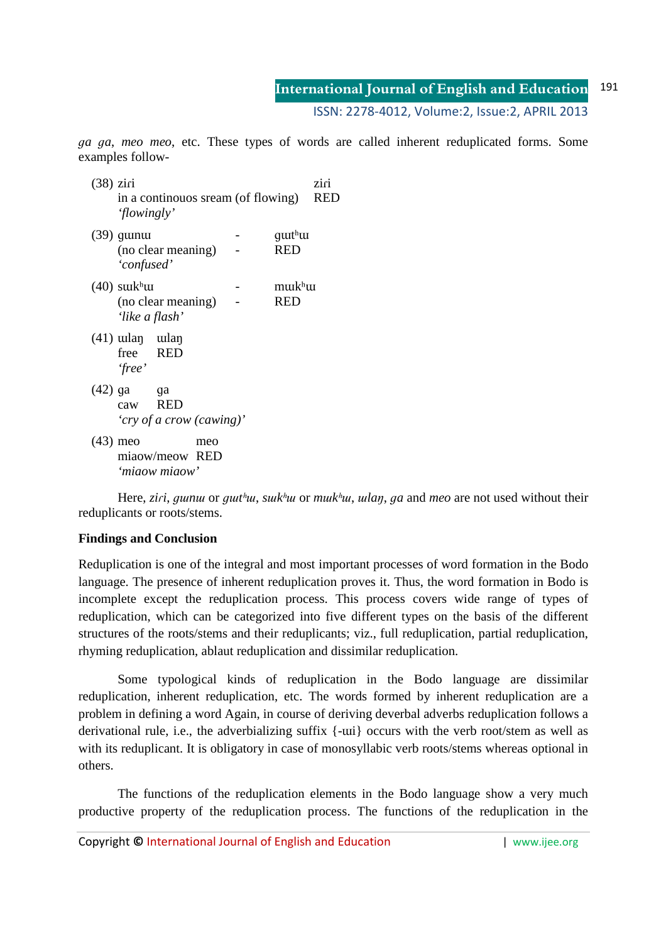ISSN: 2278-4012, Volume:2, Issue:2, APRIL 2013

*ɡa ɡa*, *meo meo*, etc. These types of words are called inherent reduplicated forms. Some examples follow-

| $(38)$ ziri | 'flowingly'                              | in a continouos sream (of flowing) |     |                                    | ziri<br>RED |
|-------------|------------------------------------------|------------------------------------|-----|------------------------------------|-------------|
|             | $(39)$ guinui<br>'confused'              | (no clear meaning)                 |     | guit <sup>h</sup> ui<br><b>RED</b> |             |
|             | $(40)$ surkhu<br>'like a flash'          | (no clear meaning)                 |     | murkhu<br><b>RED</b>               |             |
|             | $(41)$ welan welan<br>free RED<br>'free' |                                    |     |                                    |             |
| $(42)$ ga   | ga<br>caw RED                            | 'cry of a crow (cawing)'           |     |                                    |             |
| $(43)$ meo  |                                          | miaow/meow RED<br>'miaow miaow'    | meo |                                    |             |

Here, ziri, quintu or quit but sult but or multiput, when, a and meo are not used without their reduplicants or roots/stems.

# **Findings and Conclusion**

Reduplication is one of the integral and most important processes of word formation in the Bodo language. The presence of inherent reduplication proves it. Thus, the word formation in Bodo is incomplete except the reduplication process. This process covers wide range of types of reduplication, which can be categorized into five different types on the basis of the different structures of the roots/stems and their reduplicants; viz., full reduplication, partial reduplication, rhyming reduplication, ablaut reduplication and dissimilar reduplication.

 Some typological kinds of reduplication in the Bodo language are dissimilar reduplication, inherent reduplication, etc. The words formed by inherent reduplication are a problem in defining a word Again, in course of deriving deverbal adverbs reduplication follows a derivational rule, i.e., the adverbializing suffix  $\{-\text{uii}\}\$  occurs with the verb root/stem as well as with its reduplicant. It is obligatory in case of monosyllabic verb roots/stems whereas optional in others.

 The functions of the reduplication elements in the Bodo language show a very much productive property of the reduplication process. The functions of the reduplication in the